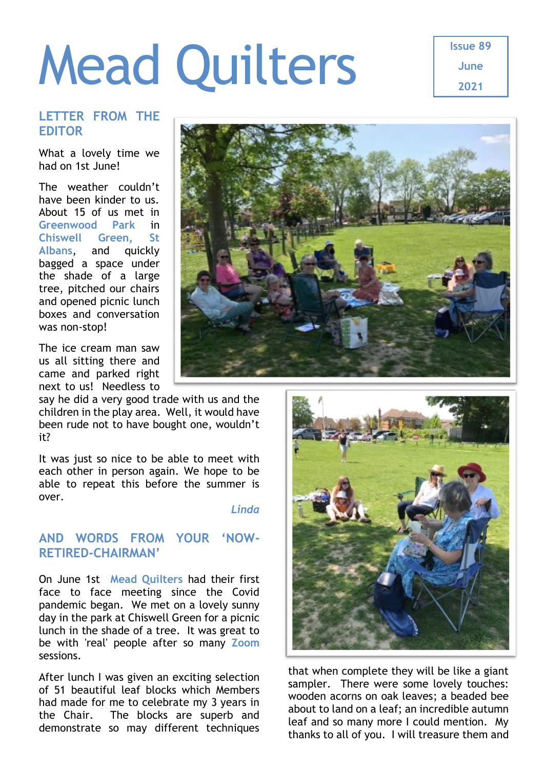# Mead Quilters

**Issue 89 June 2021**

## **LETTER FROM THE EDITOR**

What a lovely time we had on 1st June!

The weather couldn't have been kinder to us. About 15 of us met in **Greenwood Park** in **Chiswell Green, St Albans**, and quickly bagged a space under the shade of a large tree, pitched our chairs and opened picnic lunch boxes and conversation was non-stop!

The ice cream man saw us all sitting there and came and parked right next to us! Needless to

say he did a very good trade with us and the children in the play area. Well, it would have been rude not to have bought one, wouldn't it?

It was just so nice to be able to meet with each other in person again. We hope to be able to repeat this before the summer is over.

*Linda*

## **AND WORDS FROM YOUR 'NOW-RETIRED-CHAIRMAN'**

On June 1st **Mead Quilters** had their first face to face meeting since the Covid pandemic began. We met on a lovely sunny day in the park at Chiswell Green for a picnic lunch in the shade of a tree. It was great to be with 'real' people after so many **Zoom** sessions.

After lunch I was given an exciting selection of 51 beautiful leaf blocks which Members had made for me to celebrate my 3 years in the Chair. The blocks are superb and demonstrate so may different techniques





that when complete they will be like a giant sampler. There were some lovely touches: wooden acorns on oak leaves; a beaded bee about to land on a leaf; an incredible autumn leaf and so many more I could mention. My thanks to all of you. I will treasure them and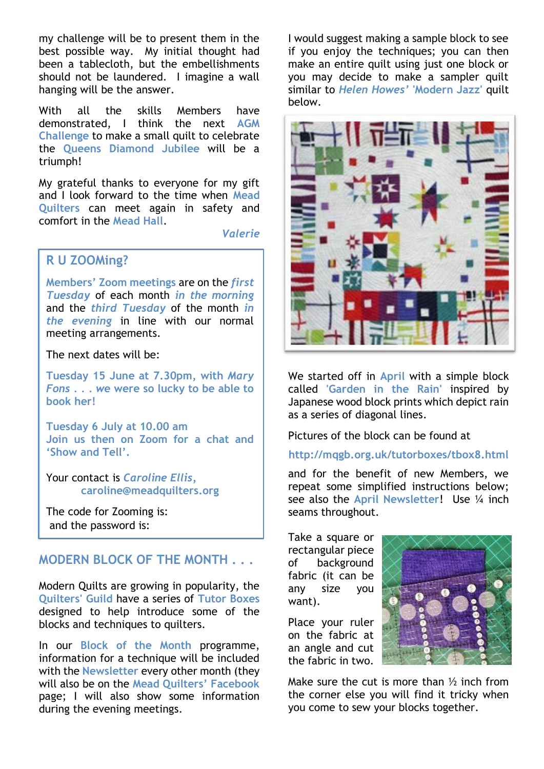my challenge will be to present them in the best possible way. My initial thought had been a tablecloth, but the embellishments should not be laundered. I imagine a wall hanging will be the answer.

With all the skills Members have demonstrated, I think the next **AGM Challenge** to make a small quilt to celebrate the **Queens Diamond Jubilee** will be a triumph!

My grateful thanks to everyone for my gift and I look forward to the time when **Mead Quilters** can meet again in safety and comfort in the **Mead Hall**.

*Valerie*

## **R U ZOOMing?**

**Members' Zoom meetings** are on the *first Tuesday* of each month *in the morning* and the *third Tuesday* of the month *in the evening* in line with our normal meeting arrangements.

The next dates will be:

**Tuesday 15 June at 7.30pm, with** *Mary Fons . . . w***e were so lucky to be able to book her!**

**Tuesday 6 July at 10.00 am Join us then on Zoom for a chat and 'Show and Tell'.**

Your contact is *Caroline Ellis,* **[caroline@meadquilters.org](mailto:carolineellis99@aol.com)**

The code for Zooming is: and the password is:

## **MODERN BLOCK OF THE MONTH . . .**

Modern Quilts are growing in popularity, the **Quilters' Guild** have a series of **Tutor Boxes**  designed to help introduce some of the blocks and techniques to quilters.

In our **Block of the Month** programme, information for a technique will be included with the **Newsletter** every other month (they will also be on the **Mead Quilters' Facebook** page; I will also show some information during the evening meetings.

I would suggest making a sample block to see if you enjoy the techniques; you can then make an entire quilt using just one block or you may decide to make a sampler quilt similar to *Helen Howes'* **'Modern Jazz'** quilt below.



We started off in **April** with a simple block called **'Garden in the Rain'** inspired by Japanese wood block prints which depict rain as a series of diagonal lines.

Pictures of the block can be found at

#### **<http://mqgb.org.uk/tutorboxes/tbox8.html>**

and for the benefit of new Members, we repeat some simplified instructions below; see also the **[April Newsletter](http://www.meadquilters.org/news.html)**! Use ¼ inch seams throughout.

Take a square or rectangular piece of background fabric (it can be any size you want).

Place your ruler on the fabric at an angle and cut the fabric in two.



Make sure the cut is more than  $\frac{1}{2}$  inch from the corner else you will find it tricky when you come to sew your blocks together.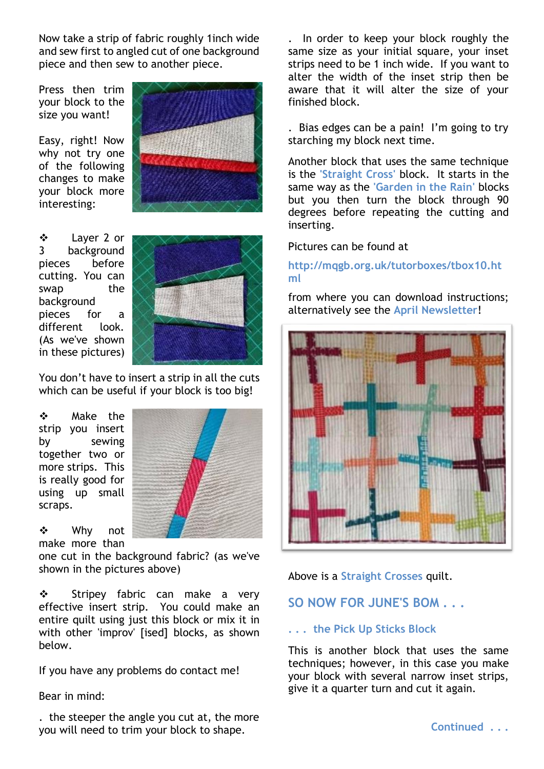Now take a strip of fabric roughly 1inch wide and sew first to angled cut of one background piece and then sew to another piece.

Press then trim your block to the size you want!

Easy, right! Now why not try one of the following changes to make your block more interesting:



 Layer 2 or 3 background pieces before cutting. You can swap the background pieces for a different look. (As we've shown in these pictures)



You don't have to insert a strip in all the cuts which can be useful if your block is too big!

 Make the strip you insert by sewing together two or more strips. This is really good for using up small scraps.

 Why not make more than

one cut in the background fabric? (as we've shown in the pictures above)

Stripey fabric can make a very effective insert strip. You could make an entire quilt using just this block or mix it in with other 'improv' [ised] blocks, as shown below.

If you have any problems do contact me!

#### Bear in mind:

. the steeper the angle you cut at, the more you will need to trim your block to shape.

. In order to keep your block roughly the same size as your initial square, your inset strips need to be 1 inch wide. If you want to alter the width of the inset strip then be aware that it will alter the size of your finished block.

. Bias edges can be a pain! I'm going to try starching my block next time.

Another block that uses the same technique is the **'Straight Cross'** block. It starts in the same way as the **'Garden in the Rain'** blocks but you then turn the block through 90 degrees before repeating the cutting and inserting.

Pictures can be found at

#### **[http://mqgb.org.uk/tutorboxes/tbox10.ht](http://mqgb.org.uk/tutorboxes/tbox10.html) [ml](http://mqgb.org.uk/tutorboxes/tbox10.html)**

from where you can download instructions; alternatively see the **[April Newsletter](http://www.meadquilters.org/news.html)**!



Above is a **Straight Crosses** quilt.

## **SO NOW FOR JUNE'S BOM . . .**

#### **. . . the Pick Up Sticks Block**

This is another block that uses the same techniques; however, in this case you make your block with several narrow inset strips, give it a quarter turn and cut it again.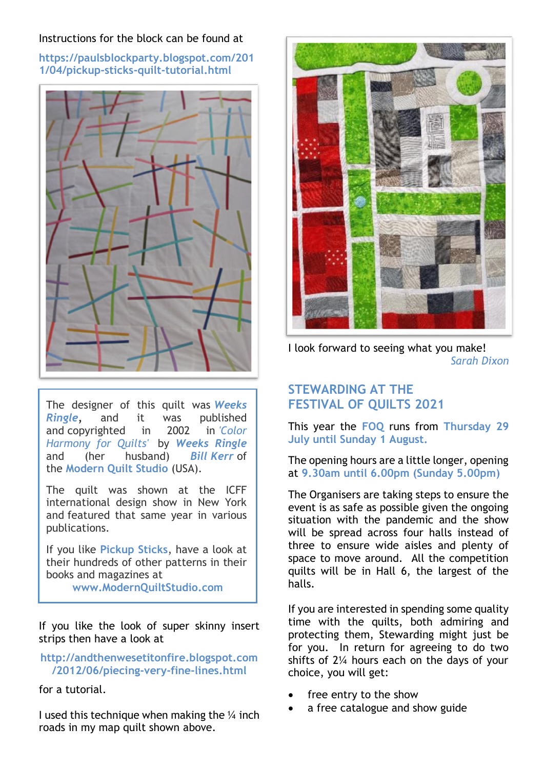#### Instructions for the block can be found at

**[https://paulsblockparty.blogspot.com/201](https://paulsblockparty.blogspot.com/2011/04/pickup-sticks-quilt-tutorial.html) [1/04/pickup-sticks-quilt-tutorial.html](https://paulsblockparty.blogspot.com/2011/04/pickup-sticks-quilt-tutorial.html)**



The designer of this quilt was *Weeks Ringle,* and it was published and copyrighted in 2002 in *'Color Harmony for Quilts'* by *Weeks Ringle* and (her husband) *Bill Kerr* of the **Modern Quilt Studio** (USA).

The quilt was shown at the ICFF international design show in New York and featured that same year in various publications.

If you like **Pickup Sticks**, have a look at their hundreds of other patterns in their books and magazines at **[www.ModernQuiltStudio.com](http://www.modernquiltstudio.com/)**

If you like the look of super skinny insert strips then have a look at

#### **[http://andthenwesetitonfire.blogspot.com](http://andthenwesetitonfire.blogspot.com/2012/06/piecing-very-fine-lines.html) [/2012/06/piecing-very-fine-lines.html](http://andthenwesetitonfire.blogspot.com/2012/06/piecing-very-fine-lines.html)**

for a tutorial.

I used this technique when making the  $\frac{1}{4}$  inch roads in my map quilt shown above.



I look forward to seeing what you make! *Sarah Dixon*

# **STEWARDING AT THE FESTIVAL OF QUILTS 2021**

This year the **FOQ** runs from **Thursday 29 July until Sunday 1 August.**

The opening hours are a little longer, opening at **9.30am until 6.00pm (Sunday 5.00pm)**

The Organisers are taking steps to ensure the event is as safe as possible given the ongoing situation with the pandemic and the show will be spread across four halls instead of three to ensure wide aisles and plenty of space to move around. All the competition quilts will be in Hall 6, the largest of the halls.

If you are interested in spending some quality time with the quilts, both admiring and protecting them, Stewarding might just be for you. In return for agreeing to do two shifts of 2¼ hours each on the days of your choice, you will get:

- free entry to the show
- a free catalogue and show guide